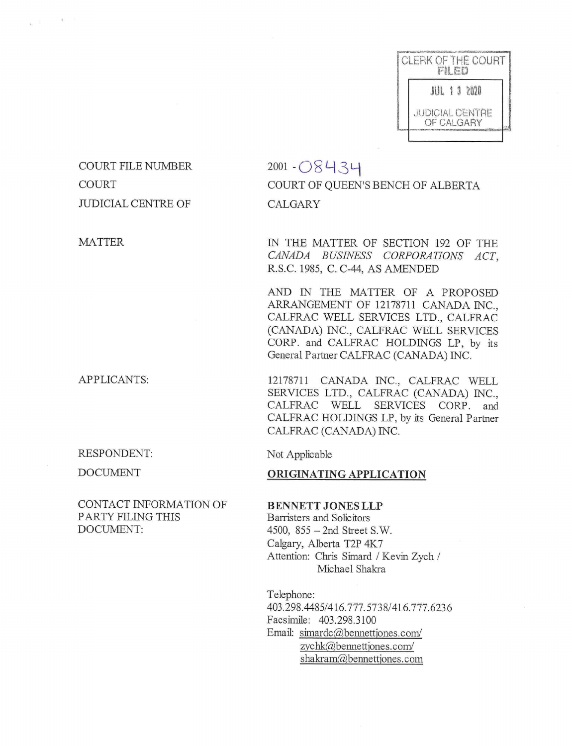

COURT FILE NUMBER  $2001 - \bigcirc 8434$ JUDICIAL CENTRE OF CALGARY

MATTER

APPLICANTS:

RESPONDENT:

DOCUMENT

CONTACT INFORMATION OF BENNETT JONES LLP PARTY FILING THIS Barristers and Solicitors DOCUMENT: 4500, 855 – 2nd Street S.W.

# COURT COURT OF QUEEN'S BENCH OF ALBERTA

IN THE MATTER OF SECTION 192 OF THE CANADA BUSINESS CORPORATIONS ACT, R.S.C. 1985, C. C-44, AS AMENDED

AND IN THE MATTER OF A PROPOSED ARRANGEMENT OF 12178711 CANADA INC., CALFRAC WELL SERVICES LTD., CALFRAC (CANADA) INC., CALFRAC WELL SERVICES CORP. and CALFRAC HOLDINGS LP, by its General Partner CALFRAC (CANADA) INC.

12178711 CANADA INC., CALFRAC WELL SERVICES LTD., CALFRAC (CANADA) INC., CALFRAC WELL SERVICES CORP. and CALFRAC HOLDINGS LP, by its General Partner CALFRAC (CANADA) INC.

<sup>N</sup>ot Applicable

### ORIGINATING APPLICATION

Calgary, Alberta T2P 4K7 <sup>A</sup>ttention: Chris Simard / Kevin Zych / Michael Shakra

Telephone: 403.298.4485/416.777.5738/416.777.6236 Facsimile: 403.298.3100 Email: simardc@bennettjones.com/  $z$ ychk $@$ bennettiones.com/ shakram@bennettjones.com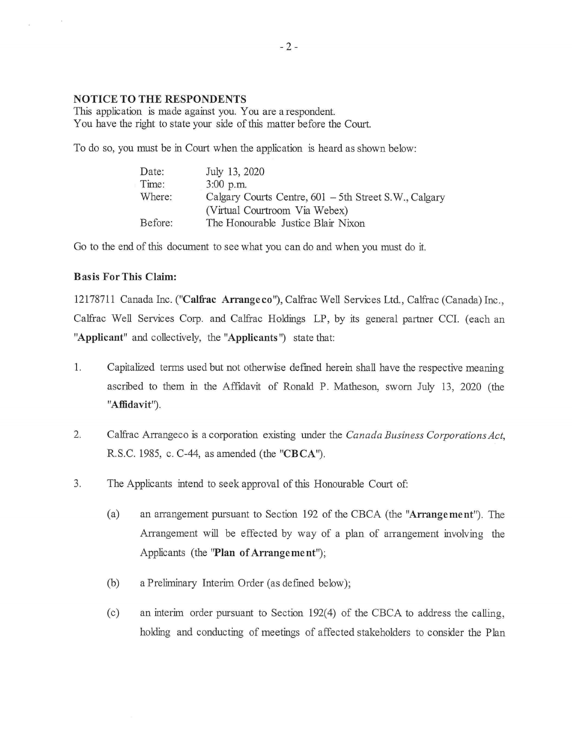### NOTICE TO THE RESPONDENTS

This application is made against you. You are a respondent. You have the right to state your side of this matter before the Court.

To do so, you must be in Court when the application is heard as shown below:

| Date:   | July 13, 2020                                         |
|---------|-------------------------------------------------------|
| Time:   | $3:00$ p.m.                                           |
| Where:  | Calgary Courts Centre, 601 - 5th Street S.W., Calgary |
|         | (Virtual Courtroom Via Webex)                         |
| Before: | The Honourable Justice Blair Nixon                    |

Go to the end of this document to see what you can do and when you must do it.

#### Basis For This Claim:

12178711 Canada Inc. ("Calfrac Arrangeco"), Calfrac Well Services Ltd., Calfrac (Canada) Inc., Calfrac Well Services Corp. and Calfrac Holdings LP, by its general partner CCI. (each an "Applicant" and collectively, the "Applicants ") state that:

- 1. Capitalized terms used but not otherwise defined herein shall have the respective meaning ascribed to them in the Affidavit of Ronald P. Matheson, sworn July 13, 2020 (the "Affidavit").
- 2. Calfrac Arrangeco is a corporation existing under the Canada Business Corporations Act, R.S.C. 1985, c. C-44, as amended (the "CBCA").
- 3. The Applicants intend to seek approval of this Honourable Court of:
	- (a) an arrangement pursuant to Section 192 of the CBCA (the "Arrangement"). The Arrangement will be effected by way of a plan of arrangement involving the Applicants (the 'Plan of Arrangement");
	- (b) a Preliminary Interim Order (as defined below);
	- (c) an interim order pursuant to Section 192(4) of the CBCA to address the calling, holding and conducting of meetings of affected stakeholders to consider the Plan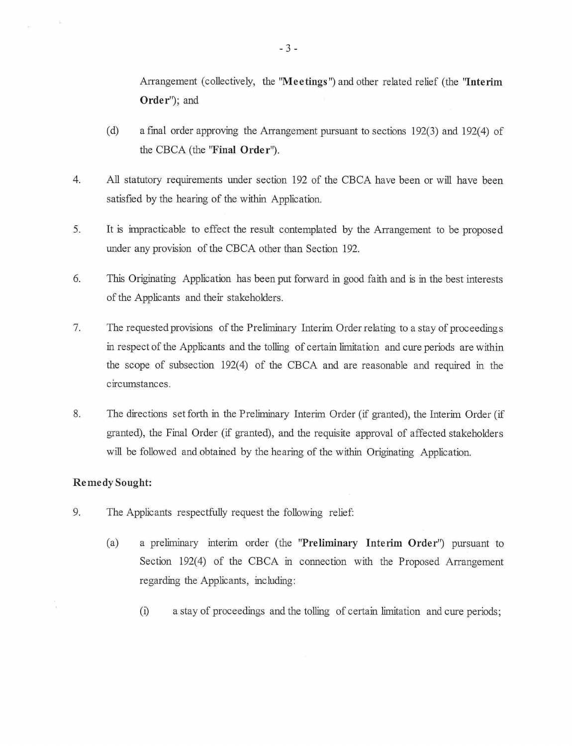Arrangement (collectively, the 'Meetings') and other related relief (the 'Interim Order"); and

- (d) a final order approving the Arrangement pursuant to sections 192(3) and 192(4) of the CBCA (the "Final Order').
- 4. All statutory requirements under section 192 of the CBCA have been or will have been satisfied by the hearing of the within Application.
- 5. It is impracticable to effect the result contemplated by the Arrangement to be proposed under any provision of the CBCA other than Section 192.
- 6. This Originating Application has been put forward in good faith and is in the best interests of the Applicants and their stakeholders.
- 7. The requested provisions of the Preliminary Interim Order relating to a stay of proceedings in respect of the Applicants and the tolling of certain limitation and cure periods are within the scope of subsection 192(4) of the CBCA and are reasonable and required in the circumstances.
- 8. The directions set forth in the Preliminary Interim Order (if granted), the Interim Order (if granted), the Final Order (if granted), and the requisite approval of affected stakeholders will be followed and obtained by the hearing of the within Originating Application.

#### Remedy Sought:

- 9. The Applicants respectfully request the following relief:
	- (a) a preliminary interim order (the "Preliminary Interim Order") pursuant to Section 192(4) of the CBCA in connection with the Proposed Arrangement regarding the Applicants, including:
		- (i) a stay of proceedings and the tolling of certain limitation and cure periods;